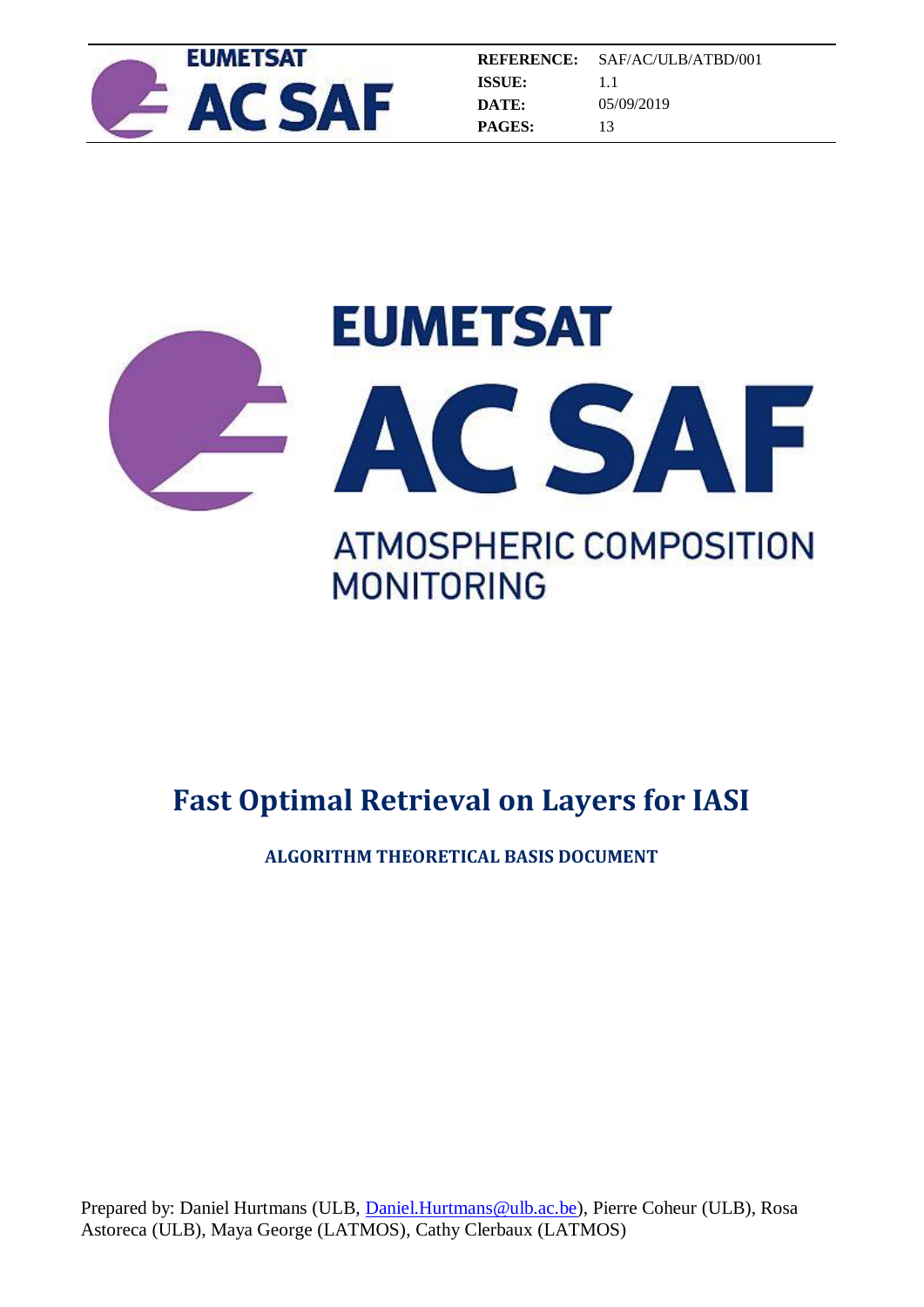



**ALGORITHM THEORETICAL BASIS DOCUMENT**

Prepared by: Daniel Hurtmans (ULB, *Daniel.Hurtmans@ulb.ac.be*), Pierre Coheur (ULB), Rosa Astoreca (ULB), Maya George (LATMOS), Cathy Clerbaux (LATMOS)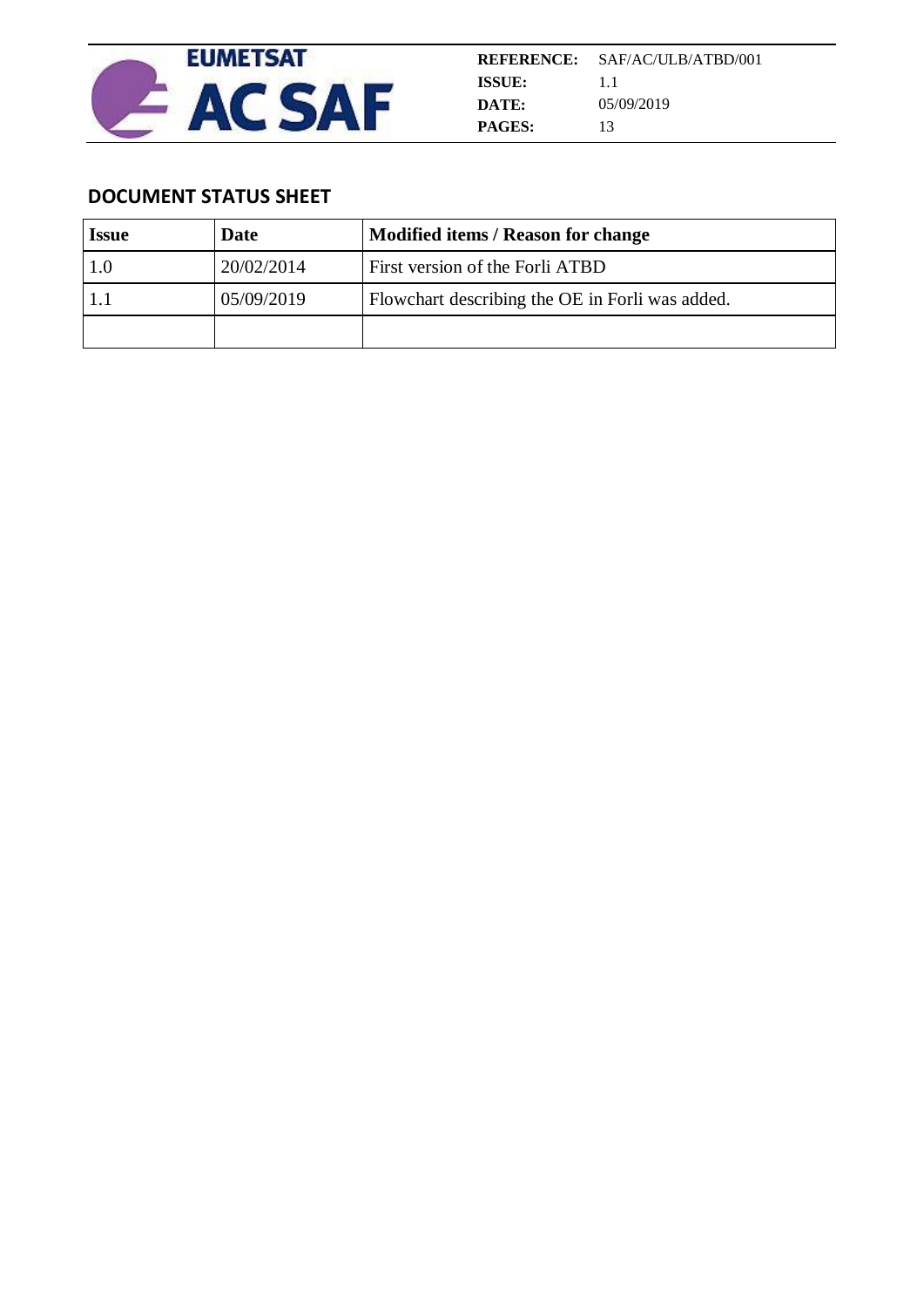

# **DOCUMENT STATUS SHEET**

| <b>Issue</b> | Date       | Modified items / Reason for change              |
|--------------|------------|-------------------------------------------------|
|              | 20/02/2014 | First version of the Forli ATBD                 |
|              | 05/09/2019 | Flowchart describing the OE in Forli was added. |
|              |            |                                                 |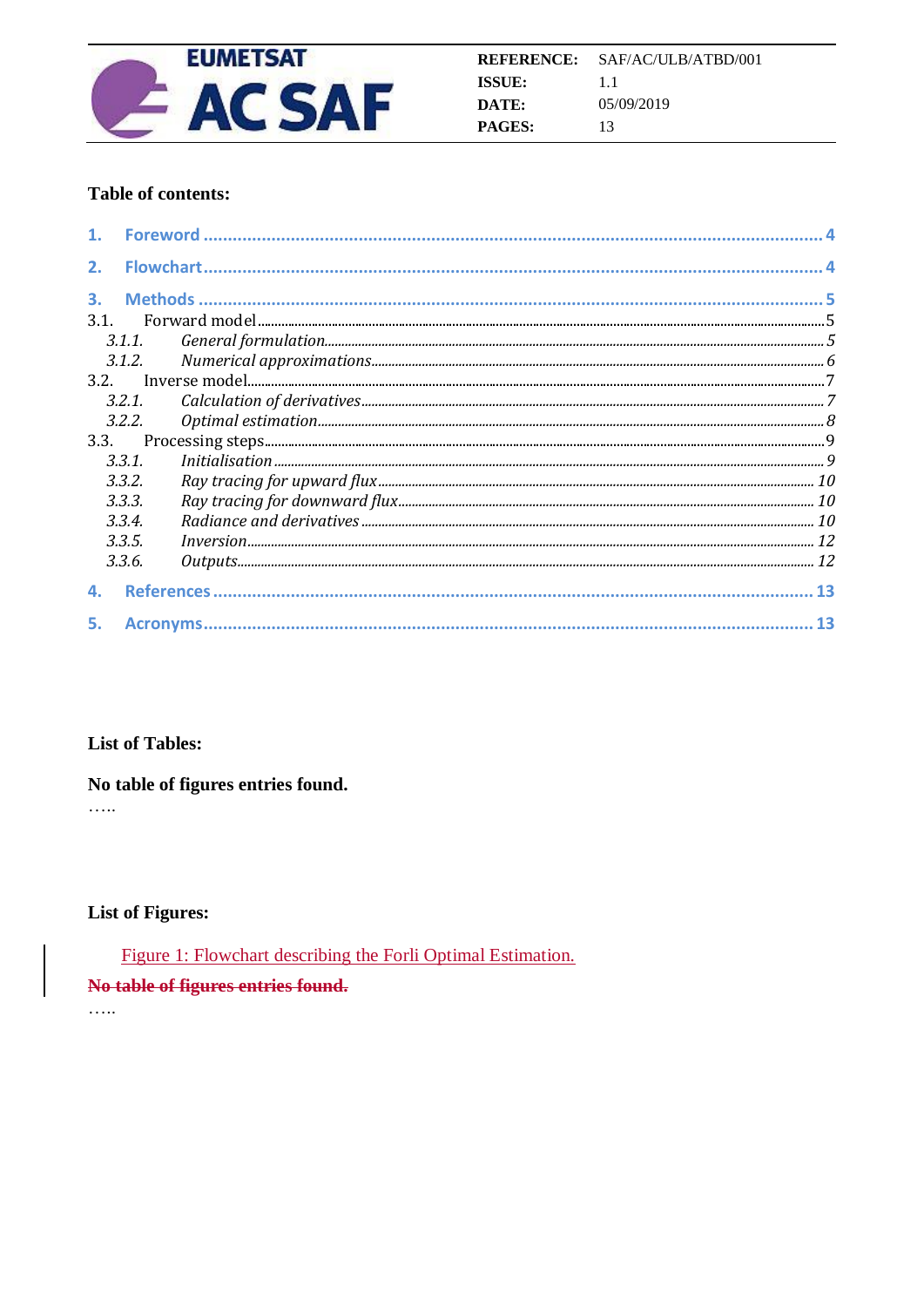

## Table of contents:

| 2.   | <b>Flowchart.</b> |  |
|------|-------------------|--|
| 3.   |                   |  |
| 3.1. |                   |  |
|      |                   |  |
|      | 3.1.2.            |  |
|      |                   |  |
|      | 3.2.1.            |  |
|      | 3.2.2.            |  |
| 3.3. |                   |  |
|      | 3.3.1.            |  |
|      | 3.3.2.            |  |
|      | 3.3.3.            |  |
|      | 3.3.4.            |  |
|      | 3.3.5.            |  |
|      | 3.3.6.            |  |
| 4.   |                   |  |
| 5.   |                   |  |

## **List of Tables:**

## No table of figures entries found.

 $\ldots$ 

## **List of Figures:**

Figure 1: Flowchart describing the Forli Optimal Estimation.

#### No table of figures entries found.

. . . . .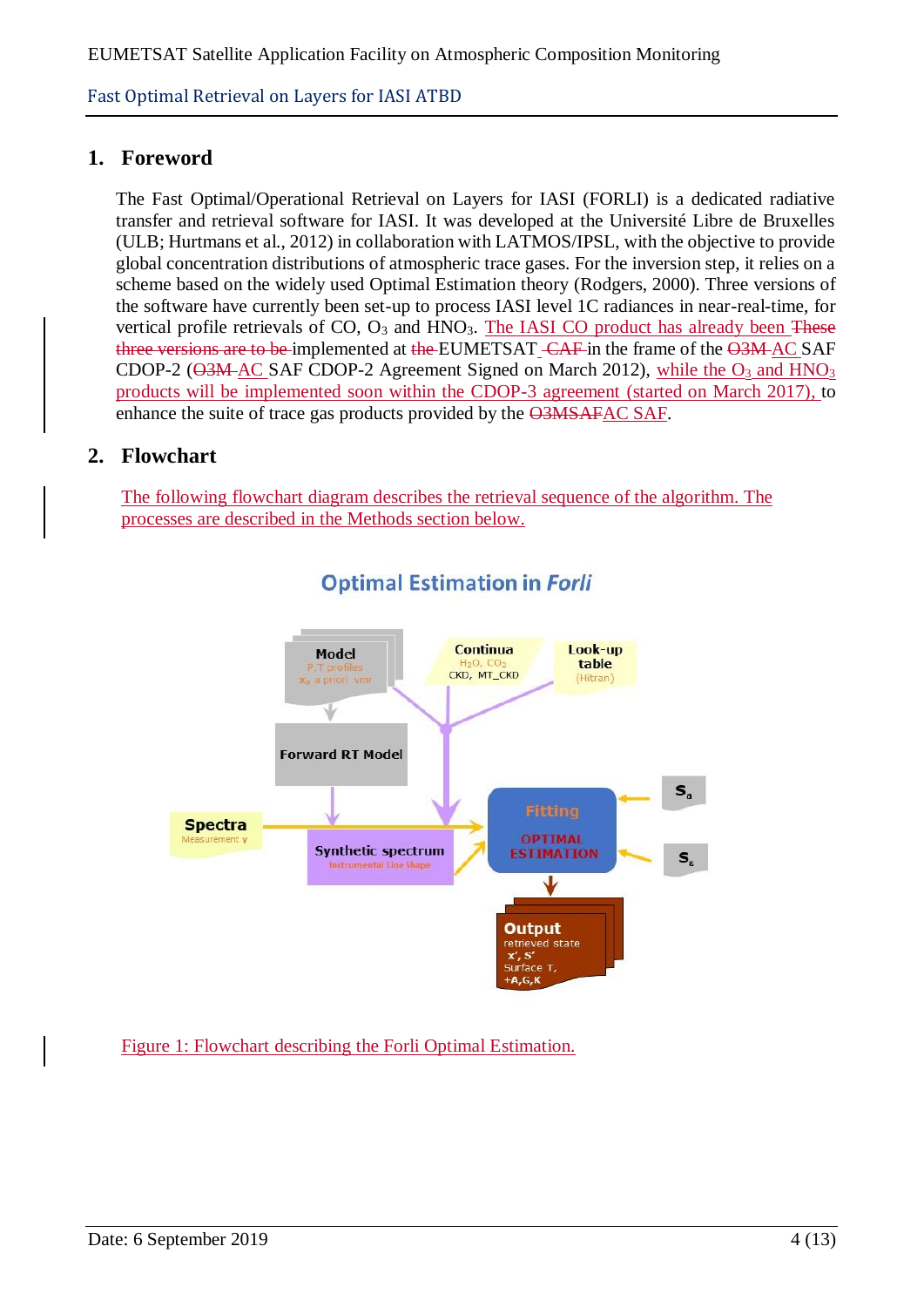# **1. Foreword**

The Fast Optimal/Operational Retrieval on Layers for IASI (FORLI) is a dedicated radiative transfer and retrieval software for IASI. It was developed at the Université Libre de Bruxelles (ULB; Hurtmans et al., 2012) in collaboration with LATMOS/IPSL, with the objective to provide global concentration distributions of atmospheric trace gases. For the inversion step, it relies on a scheme based on the widely used Optimal Estimation theory (Rodgers, 2000). Three versions of the software have currently been set-up to process IASI level 1C radiances in near-real-time, for vertical profile retrievals of  $CO$ ,  $O_3$  and  $HNO_3$ . The IASI  $CO$  product has already been These three versions are to be implemented at the EUMETSAT -CAF in the frame of the O3M-AC SAF CDOP-2 ( $\Theta$ 3M-AC SAF CDOP-2 Agreement Signed on March 2012), while the O<sub>3</sub> and HNO<sub>3</sub> products will be implemented soon within the CDOP-3 agreement (started on March 2017), to enhance the suite of trace gas products provided by the O3MSAFAC SAF.

# **2. Flowchart**

The following flowchart diagram describes the retrieval sequence of the algorithm. The processes are described in the Methods section below.



# **Optimal Estimation in Forli**

Figure 1: Flowchart describing the Forli Optimal Estimation.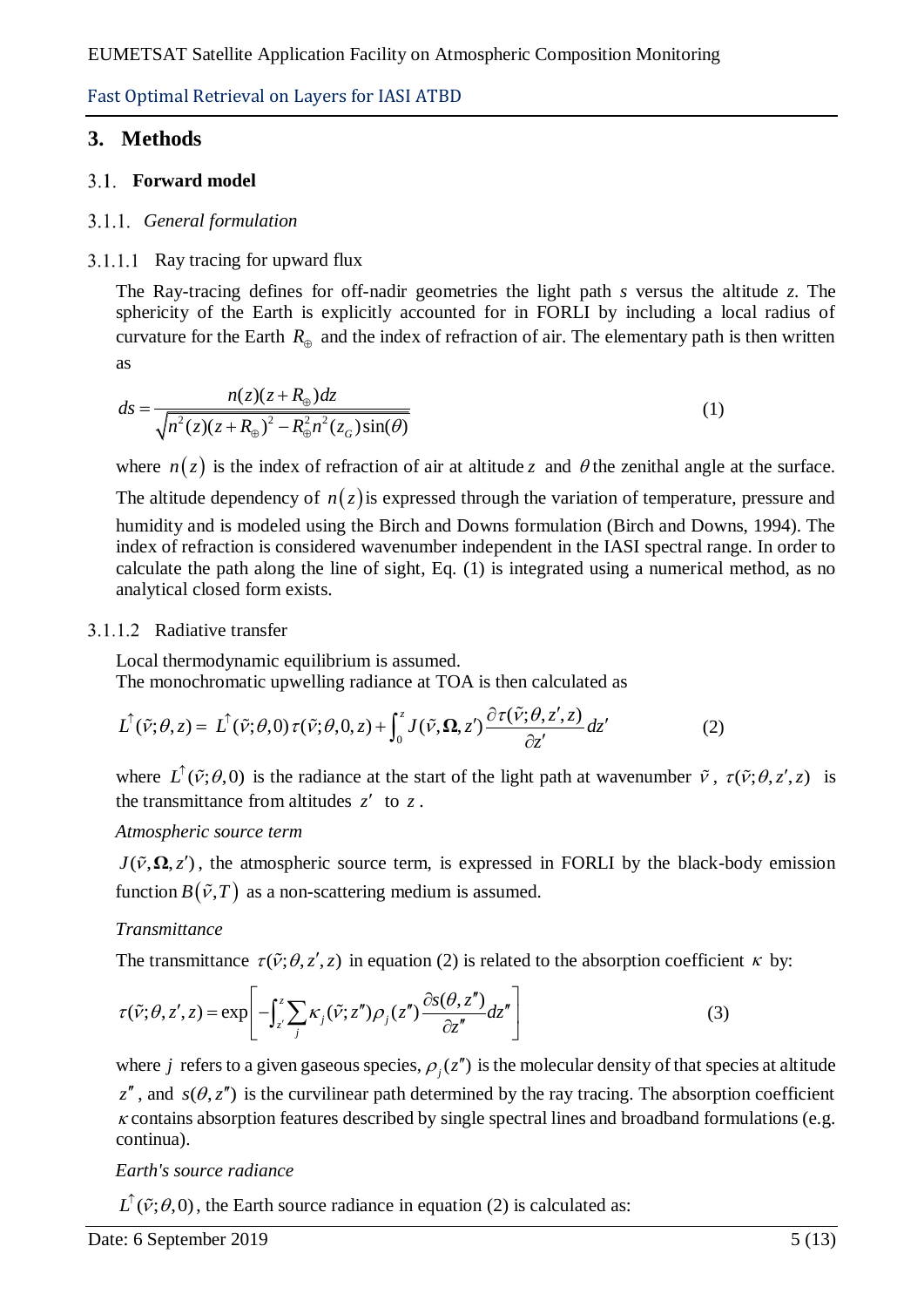# **3. Methods**

## **Forward model**

## *General formulation*

## $3.1.1.1$  Ray tracing for upward flux

The Ray-tracing defines for off-nadir geometries the light path *s* versus the altitude *z*. The sphericity of the Earth is explicitly accounted for in FORLI by including a local radius of curvature for the Earth  $R_{\oplus}$  and the index of refraction of air. The elementary path is then written as

as  

$$
ds = \frac{n(z)(z + R_{\oplus})dz}{\sqrt{n^2(z)(z + R_{\oplus})^2 - R_{\oplus}^2 n^2(z_G)\sin(\theta)}}
$$
(1)

where  $n(z)$  is the index of refraction of air at altitude z and  $\theta$  the zenithal angle at the surface.

The altitude dependency of  $n(z)$  is expressed through the variation of temperature, pressure and humidity and is modeled using the Birch and Downs formulation (Birch and Downs, 1994). The index of refraction is considered wavenumber independent in the IASI spectral range. In order to calculate the path along the line of sight, Eq. (1) is integrated using a numerical method, as no analytical closed form exists.

## 3.1.1.2 Radiative transfer

Local thermodynamic equilibrium is assumed. The monochromatic upwelling radiance at TOA is then calculated as

Local thermodynamic equilibrium is assumed.  
The monochromatic upwelling radiance at TOA is then calculated as  

$$
L^{\uparrow}(\tilde{v};\theta,z) = L^{\uparrow}(\tilde{v};\theta,0) \tau(\tilde{v};\theta,0,z) + \int_0^z J(\tilde{v};\Omega,z') \frac{\partial \tau(\tilde{v};\theta,z',z)}{\partial z'} dz'
$$
(2)

where  $\hat{L}(\tilde{v};\theta,0)$  is the radiance at the start of the light path at wavenumber  $\tilde{v}$ ,  $\tau(\tilde{v};\theta,z',z)$  is the transmittance from altitudes  $z'$  to  $z$ .

## *Atmospheric source term*

 $J(\tilde{v}, \Omega, z')$ , the atmospheric source term, is expressed in FORLI by the black-body emission function  $B(\tilde{v},T)$  as a non-scattering medium is assumed.

## *Transmittance*

The transmittance 
$$
\tau(\tilde{\nu}; \theta, z', z)
$$
 in equation (2) is related to the absorption coefficient  $\kappa$  by:  
\n
$$
\tau(\tilde{\nu}; \theta, z', z) = \exp\left[-\int_{z'}^{z} \sum_{j} \kappa_{j}(\tilde{\nu}; z'') \rho_{j}(z'') \frac{\partial s(\theta, z'')}{\partial z''} dz''\right]
$$
\n(3)

where *j* refers to a given gaseous species,  $\rho_j(z'')$  is the molecular density of that species at altitude  $z''$ , and  $s(\theta, z'')$  is the curvilinear path determined by the ray tracing. The absorption coefficient  $\kappa$  contains absorption features described by single spectral lines and broadband formulations (e.g. continua).

## *Earth's source radiance*

 $L^{\uparrow}(\tilde{\nu};\theta,0)$ , the Earth source radiance in equation (2) is calculated as: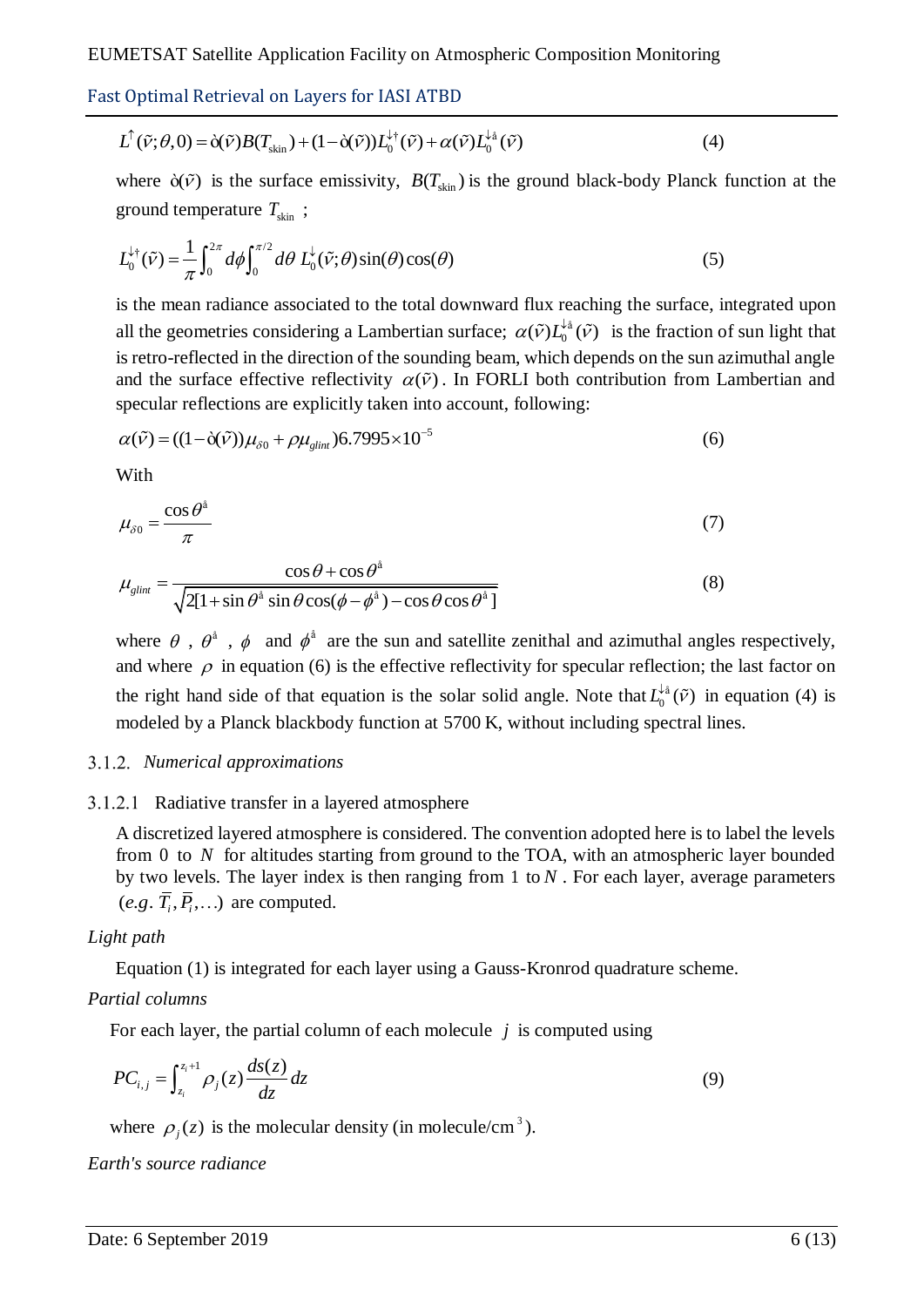Fast Optimal Retrieval on Layers for IASI ATBD  

$$
L^{\uparrow}(\tilde{v};\theta,0) = \delta(\tilde{v})B(T_{\rm skin}) + (1-\delta(\tilde{v}))L_0^{\downarrow\dagger}(\tilde{v}) + \alpha(\tilde{v})L_0^{\downarrow\dagger}(\tilde{v})
$$
(4)

where  $\tilde{\sigma}(\tilde{v})$  is the surface emissivity,  $B(T_{\text{skin}})$  is the ground black-body Planck function at the

ground temperature 
$$
T_{\text{skin}}
$$
 ;  
\n
$$
L_0^{\downarrow \dagger}(\tilde{\nu}) = \frac{1}{\pi} \int_0^{2\pi} d\phi \int_0^{\pi/2} d\theta \ L_0^{\downarrow}(\tilde{\nu}; \theta) \sin(\theta) \cos(\theta)
$$
\n(5)

is the mean radiance associated to the total downward flux reaching the surface, integrated upon all the geometries considering a Lambertian surface;  $\alpha(\tilde{v})L_0^{\downarrow \hat{a}}(\tilde{v})$  is the fraction of sun light that is retro-reflected in the direction of the sounding beam, which depends on the sun azimuthal angle and the surface effective reflectivity  $\alpha(\tilde{\nu})$ . In FORLI both contribution from Lambertian and

specular reflections are explicitly taken into account, following:  
\n
$$
\alpha(\tilde{\nu}) = ((1 - \tilde{\alpha}(\tilde{\nu}))\mu_{\delta 0} + \rho \mu_{glint})6.7995 \times 10^{-5}
$$
\n(6)

With

$$
\mu_{\delta 0} = \frac{\cos \theta^{\delta}}{\pi} \tag{7}
$$

$$
\mu_{\delta 0} = \frac{\cos \theta + \cos \theta^{\delta}}{\sqrt{2[1 + \sin \theta^{\delta} \sin \theta \cos(\phi - \phi^{\delta}) - \cos \theta \cos \theta^{\delta}]}}
$$
(8)

where  $\theta$ ,  $\theta^{\dot{a}}$ ,  $\phi$  and  $\phi^{\dot{a}}$  are the sun and satellite zenithal and azimuthal angles respectively, and where  $\rho$  in equation (6) is the effective reflectivity for specular reflection; the last factor on the right hand side of that equation is the solar solid angle. Note that  $L_0^{\downarrow \hat{a}}(\tilde{\nu})$  in equation (4) is modeled by a Planck blackbody function at 5700 K, without including spectral lines.

#### *Numerical approximations*

## 3.1.2.1 Radiative transfer in a layered atmosphere

A discretized layered atmosphere is considered. The convention adopted here is to label the levels from 0 to N for altitudes starting from ground to the TOA, with an atmospheric layer bounded by two levels. The layer index is then ranging from  $1$  to  $N$ . For each layer, average parameters  $(e.g. \overline{T}_i, \overline{P}_i, \ldots)$  are computed.

## *Light path*

Equation (1) is integrated for each layer using a Gauss-Kronrod quadrature scheme.

## *Partial columns*

For each layer, the partial column of each molecule  $j$  is computed using

$$
PC_{i,j} = \int_{z_i}^{z_i+1} \rho_j(z) \frac{ds(z)}{dz} dz
$$
 (9)

where  $\rho_j(z)$  is the molecular density (in molecule/cm<sup>3</sup>).

*Earth's source radiance*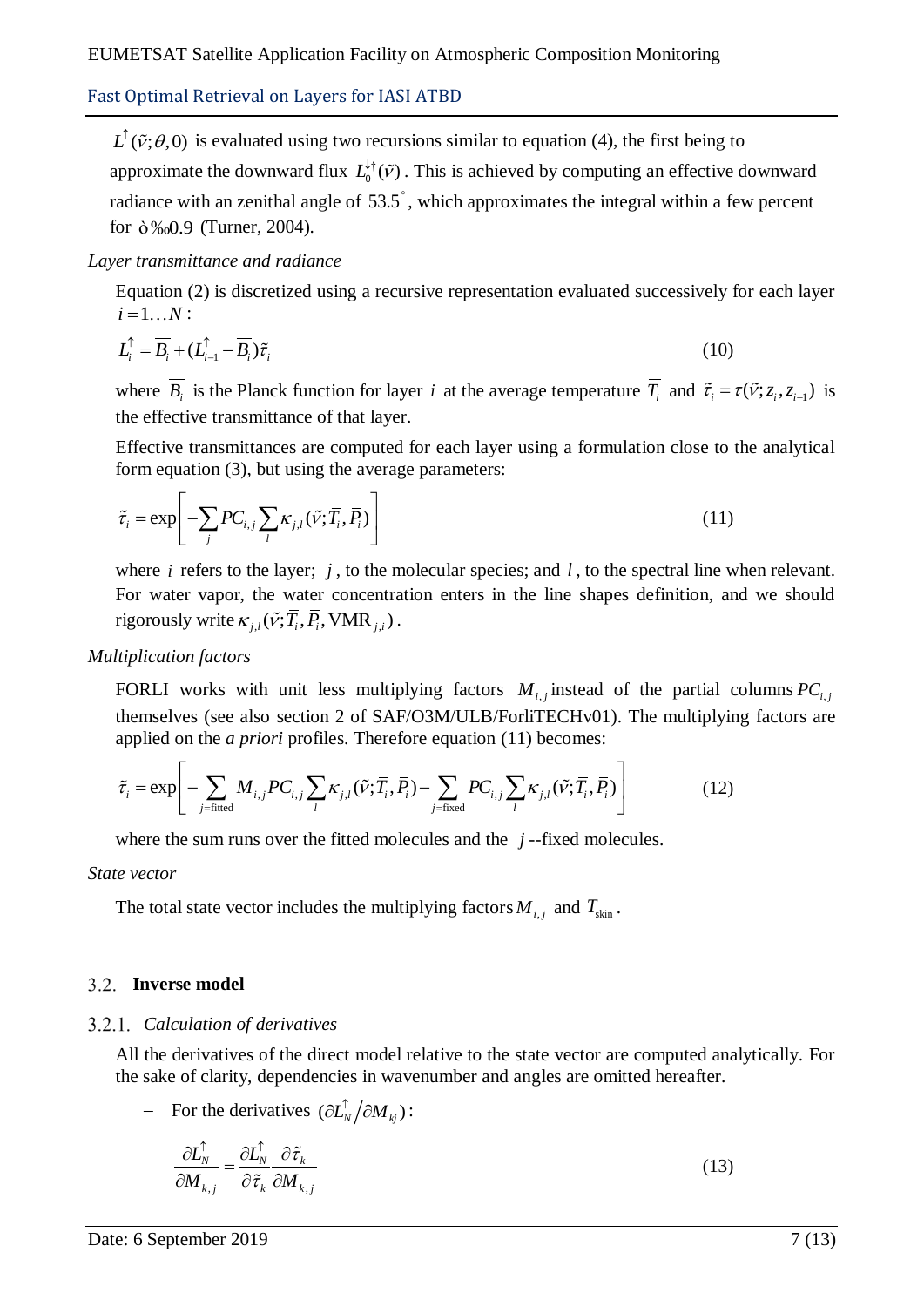$L^{\uparrow}(\tilde{\nu};\theta,0)$  is evaluated using two recursions similar to equation (4), the first being to approximate the downward flux  $L_0^{\downarrow \dagger}(\tilde{\nu})$ . This is achieved by computing an effective downward radiance with an zenithal angle of 53.5<sup>°</sup>, which approximates the integral within a few percent for ò‰0.9 (Turner, 2004).

## *Layer transmittance and radiance*

Equation (2) is discretized using a recursive representation evaluated successively for each layer  $i = 1...N$ :

$$
L_i^{\uparrow} = \overline{B_i} + (L_{i-1}^{\uparrow} - \overline{B_i})\tilde{\tau}_i
$$
\n(10)

where  $\overline{B_i}$  is the Planck function for layer *i* at the average temperature  $\overline{T_i}$  and  $\tilde{\tau}_i = \tau(\tilde{\nu}; z_i, z_{i-1})$  is the effective transmittance of that layer.

Effective transmittances are computed for each layer using a formulation close to the analytical form equation (3), but using the average parameters:

$$
\tilde{\tau}_i = \exp\left[-\sum_j PC_{i,j}\sum_l \kappa_{j,l}(\tilde{v}; \overline{T}_i, \overline{P}_i)\right]
$$
\n(11)

where  $i$  refers to the layer;  $j$ , to the molecular species; and  $l$ , to the spectral line when relevant. For water vapor, the water concentration enters in the line shapes definition, and we should rigorously write  $\kappa_{j,l}(\tilde{v}; \overline{T}_i, \overline{P}_i, \text{VMR}_{j,l})$ .

*Multiplication factors*

FORLI works with unit less multiplying factors  $M_{i,j}$  instead of the partial columns  $PC_{i,j}$ themselves (see also section 2 of SAF/O3M/ULB/ForliTECHv01). The multiplying factors are<br>applied on the *a priori* profiles. Therefore equation (11) becomes:<br> $\tilde{\tau}_i = \exp \left[ - \sum M_{i,j} P C_{i,j} \sum \kappa_{i,j} (\tilde{\nu}; \overline{T}_i, \overline{P}_i) - \sum P C$ EXENCITY WORKS With thit less multiplying factors  $M_{i,j}$  instead of the partitions<br>emselves (see also section 2 of SAF/O3M/ULB/ForliTECHv01). The multip<br>plied on the *a priori* profiles. Therefore equation (11) becomes:<br>

applied on the *a priori* profiles. Therefore equation (11) becomes:  
\n
$$
\tilde{\tau}_i = \exp\left[-\sum_{j=\text{fitted}} M_{i,j} P C_{i,j} \sum_l \kappa_{j,l} (\tilde{v}; \overline{T}_i, \overline{P}_i) - \sum_{j=\text{fixed}} P C_{i,j} \sum_l \kappa_{j,l} (\tilde{v}; \overline{T}_i, \overline{P}_i) \right]
$$
(12)

where the sum runs over the fitted molecules and the  $j$ -fixed molecules.

*State vector*

The total state vector includes the multiplying factors  $M_{i,j}$  and  $T_{\text{skin}}$ .

## **Inverse model**

## *Calculation of derivatives*

All the derivatives of the direct model relative to the state vector are computed analytically. For the sake of clarity, dependencies in wavenumber and angles are omitted hereafter.

- For the derivatives  $\left(\partial L_N^{\uparrow}/\partial M_{kj}\right)$ :

$$
\frac{\partial L_N^{\uparrow}}{\partial M_{k,j}} = \frac{\partial L_N^{\uparrow}}{\partial \tilde{\tau}_k} \frac{\partial \tilde{\tau}_k}{\partial M_{k,j}}
$$
(13)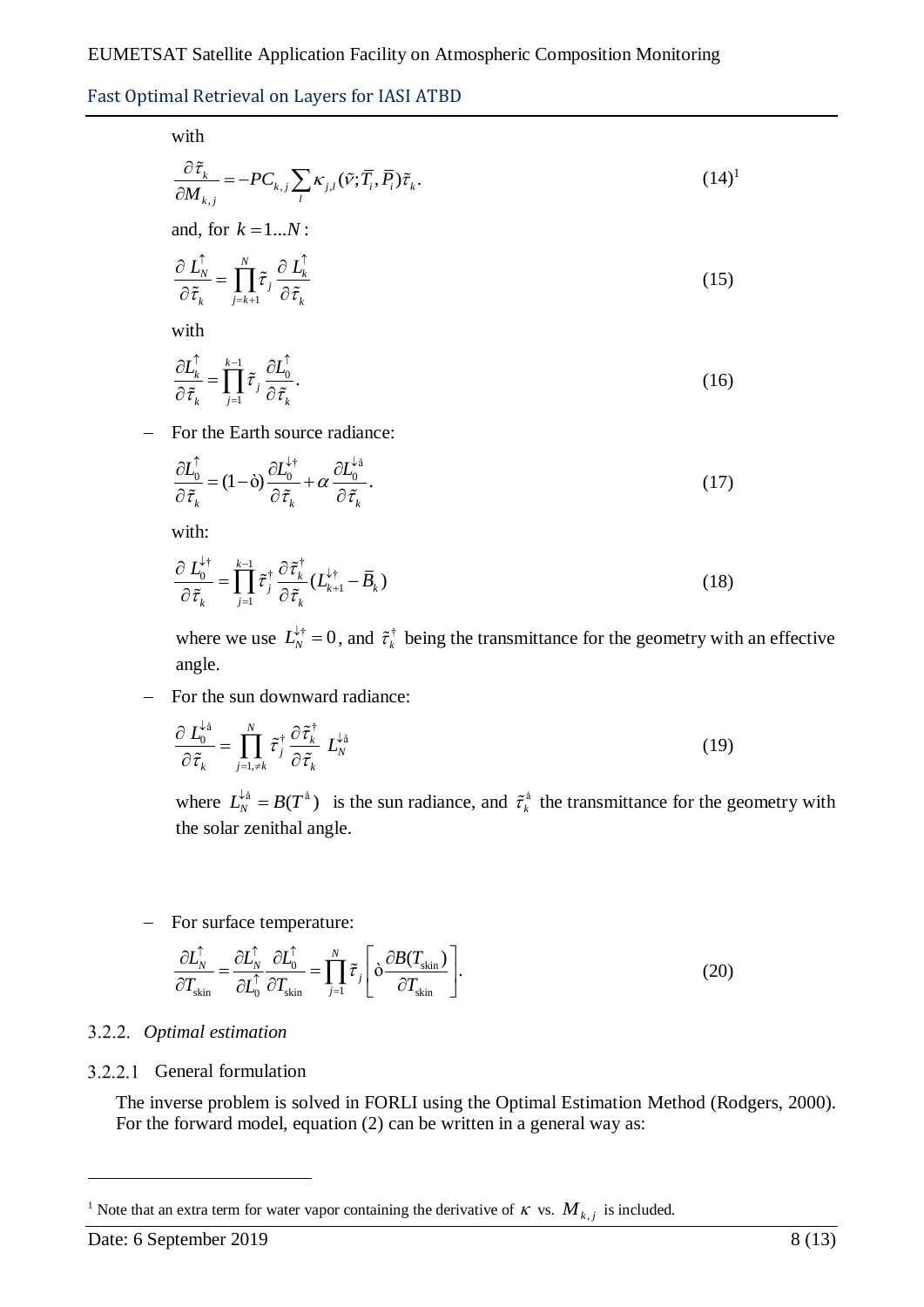with

$$
\frac{\partial \tilde{\tau}_k}{\partial M_{k,j}} = -PC_{k,j} \sum_l \kappa_{j,l} (\tilde{\nu}; \overline{T}_i, \overline{P}_i) \tilde{\tau}_k.
$$
\n(14)<sup>1</sup>

\nand, for  $k = 1...N$ :

$$
\frac{\partial \, L_N^{\uparrow}}{\partial \, \tilde{\tau}_k} = \prod_{j=k+1}^{N} \tilde{\tau}_j \, \frac{\partial \, L_k^{\uparrow}}{\partial \, \tilde{\tau}_k} \tag{15}
$$

with

$$
\frac{\partial L_k^{\uparrow}}{\partial \tilde{\tau}_k} = \prod_{j=1}^{k-1} \tilde{\tau}_j \frac{\partial L_0^{\uparrow}}{\partial \tilde{\tau}_k}.
$$
\n(16)

- For the Earth source radiance:

$$
\frac{\partial L_0^{\uparrow}}{\partial \tilde{\tau}_k} = (1 - \dot{\sigma}) \frac{\partial L_0^{\downarrow \dagger}}{\partial \tilde{\tau}_k} + \alpha \frac{\partial L_0^{\downarrow \dot{\mathbf{a}}}}{\partial \tilde{\tau}_k}.
$$
\n(17)

with:

$$
\frac{\partial L_0^{\downarrow \dagger}}{\partial \tilde{\tau}_k} = \prod_{j=1}^{k-1} \tilde{\tau}_j^{\dagger} \frac{\partial \tilde{\tau}_k^{\dagger}}{\partial \tilde{\tau}_k} (L_{k+1}^{\downarrow \dagger} - \overline{B}_k)
$$
(18)

where we use  $L_N^{\downarrow \dagger} = 0$ , and  $\tilde{\tau}_k^{\dagger}$  $\tilde{\tau}_k^{\dagger}$  being the transmittance for the geometry with an effective angle.

For the sun downward radiance:

$$
\frac{\partial L_0^{\downarrow_{\hat{\mathfrak{a}}}}}{\partial \tilde{\tau}_k} = \prod_{j=1,\neq k}^N \tilde{\tau}_j^{\dagger} \frac{\partial \tilde{\tau}_k^{\dagger}}{\partial \tilde{\tau}_k} L_N^{\downarrow_{\hat{\mathfrak{a}}}}
$$
(19)

where  $L_N^{\downarrow \hat{a}} = B(T^{\hat{a}})$  is the sun radiance, and  $\tilde{\tau}_k^{\hat{a}}$  the transmittance for the geometry with the solar zenithal angle.

- For surface temperature:  
\n
$$
\frac{\partial L_N^{\uparrow}}{\partial T_{\text{skin}}} = \frac{\partial L_N^{\uparrow}}{\partial L_0^{\uparrow}} \frac{\partial L_0^{\uparrow}}{\partial T_{\text{skin}}} = \prod_{j=1}^N \tilde{\tau}_j \left[ \delta \frac{\partial B(T_{\text{skin}})}{\partial T_{\text{skin}}} \right].
$$
\n(20)

#### *Optimal estimation*

#### 3.2.2.1 General formulation

The inverse problem is solved in FORLI using the Optimal Estimation Method (Rodgers, 2000). For the forward model, equation (2) can be written in a general way as:

<u>.</u>

<sup>&</sup>lt;sup>1</sup> Note that an extra term for water vapor containing the derivative of  $\kappa$  vs.  $M_{k,j}$  is included.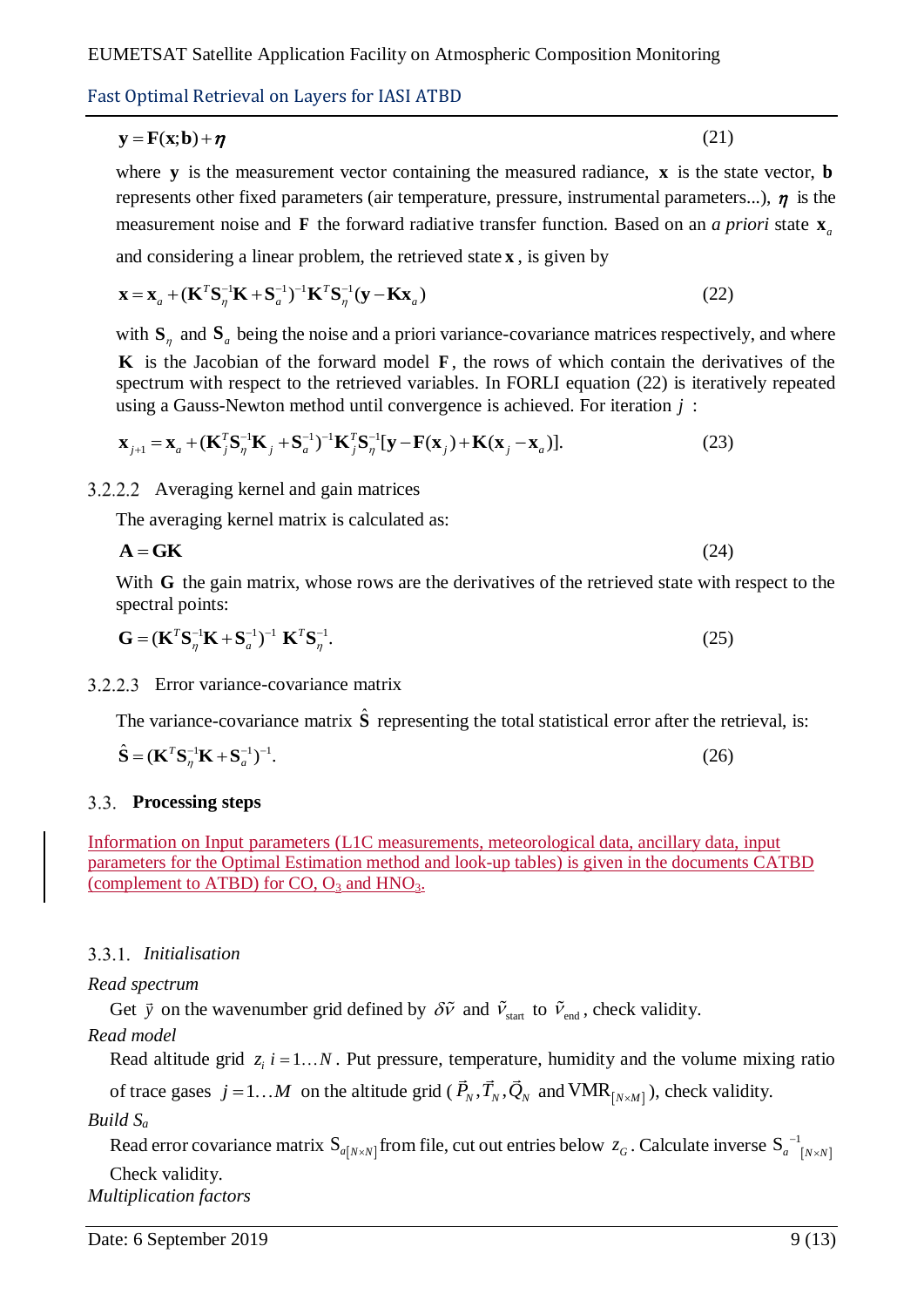## $y = F(x; b) + \eta$

where  $y$  is the measurement vector containing the measured radiance,  $x$  is the state vector, **b** represents other fixed parameters (air temperature, pressure, instrumental parameters...),  $\eta$  is the measurement noise and **F** the forward radiative transfer function. Based on an *a priori* state  $\mathbf{x}_a$ 

(21)

and considering a linear problem, the retrieved state **x**, is given by  
\n
$$
\mathbf{x} = \mathbf{x}_a + (\mathbf{K}^T \mathbf{S}_\eta^{-1} \mathbf{K} + \mathbf{S}_a^{-1})^{-1} \mathbf{K}^T \mathbf{S}_\eta^{-1} (\mathbf{y} - \mathbf{K} \mathbf{x}_a)
$$
\n(22)

with  $S_n$  and  $S_a$  being the noise and a priori variance-covariance matrices respectively, and where **K** is the Jacobian of the forward model **F** , the rows of which contain the derivatives of the spectrum with respect to the retrieved variables. In FORLI equation (22) is iteratively repeated using a Gauss-Newton method until convergence is achieved. For iteration *j* :<br>  $\mathbf{x}_{11} = \mathbf{x}_{11} + (\mathbf{K}^T \mathbf{S}^{-1} \mathbf{K} + \mathbf{S}^{-1})^{-1} \mathbf{K}^T \mathbf{S}^{-1} [\mathbf{v} - \mathbf{F}(\mathbf{x}_{11}) + \mathbf{K}(\mathbf{x}_{11} - \mathbf{x}_{11})]$ . using a Gauss-Newton method until convergence is achieved. For  $\mathbf{x}_{j+1} = \mathbf{x}_a + (\mathbf{K}_j^T \mathbf{S}_n^{-1} \mathbf{K}_j + \mathbf{S}_a^{-1})^{-1} \mathbf{K}_j^T \mathbf{S}_n^{-1} [\mathbf{y} - \mathbf{F}(\mathbf{x}_j) + \mathbf{K}(\mathbf{x}_j - \mathbf{x}_a)].$ 

$$
\mathbf{x}_{j+1} = \mathbf{x}_a + (\mathbf{K}_j^T \mathbf{S}_\eta^{-1} \mathbf{K}_j + \mathbf{S}_a^{-1})^{-1} \mathbf{K}_j^T \mathbf{S}_\eta^{-1} [\mathbf{y} - \mathbf{F}(\mathbf{x}_j) + \mathbf{K}(\mathbf{x}_j - \mathbf{x}_a)].
$$
\n(23)

Averaging kernel and gain matrices

The averaging kernel matrix is calculated as:

$$
\mathbf{A} = \mathbf{G}\mathbf{K} \tag{24}
$$

With G the gain matrix, whose rows are the derivatives of the retrieved state with respect to the spectral points:

$$
\mathbf{G} = (\mathbf{K}^T \mathbf{S}_\eta^{-1} \mathbf{K} + \mathbf{S}_a^{-1})^{-1} \ \mathbf{K}^T \mathbf{S}_\eta^{-1}.
$$

Error variance-covariance matrix

The variance-covariance matrix  $\hat{\mathbf{S}}$  representing the total statistical error after the retrieval, is:

$$
\hat{\mathbf{S}} = (\mathbf{K}^T \mathbf{S}_\eta^{-1} \mathbf{K} + \mathbf{S}_a^{-1})^{-1}.
$$
 (26)

## **Processing steps**

Information on Input parameters (L1C measurements, meteorological data, ancillary data, input parameters for the Optimal Estimation method and look-up tables) is given in the documents CATBD (complement to ATBD) for  $CO$ ,  $O_3$  and  $HNO_3$ .

## *Initialisation*

## *Read spectrum*

Get  $\vec{y}$  on the wavenumber grid defined by  $\delta \tilde{v}$  and  $\tilde{v}_{\text{start}}$  to  $\tilde{v}_{\text{end}}$ , check validity.

## *Read model*

Read altitude grid  $z_i$  *i* = 1...*N*. Put pressure, temperature, humidity and the volume mixing ratio

of trace gases  $j = 1...M$  on the altitude grid ( $\vec{P}_N$ ,  $\vec{T}_N$ ,  $\vec{Q}_N$  and VMR<sub>[N×M]</sub>), check validity.

## *Build S<sup>a</sup>*

Read error covariance matrix  $S_{a[N\times N]}$  from file, cut out entries below  $z_G$ . Calculate inverse  $S_{a[N\times N]}^{-1}$  $S_a^{-1}$ <sub>*N × N*</sub>  $\times$ Check validity.

*Multiplication factors*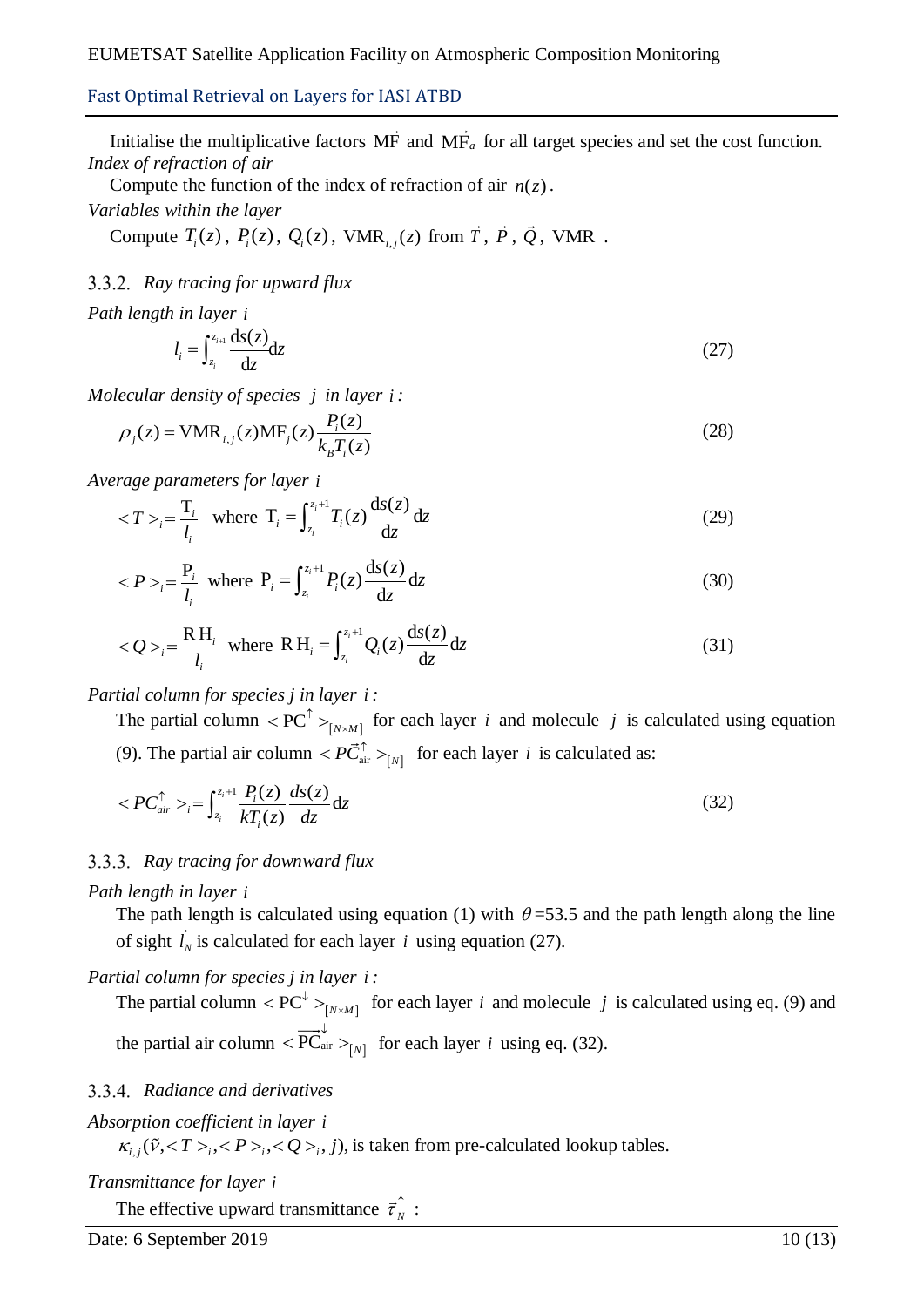Initialise the multiplicative factors MF and MF<sub>a</sub> for all target species and set the cost function. *Index of refraction of air*

Compute the function of the index of refraction of air  $n(z)$ .

*Variables within the layer*

Compute  $T_i(z)$ ,  $P_i(z)$ ,  $Q_i(z)$ , VMR<sub>*i,j*</sub>(*z*) from  $\vec{T}$ ,  $\vec{P}$ ,  $\vec{Q}$ , VMR.

## *Ray tracing for upward flux*

*Path length in layer i*

$$
l_i = \int_{z_i}^{z_{i+1}} \frac{\mathrm{d}s(z)}{\mathrm{d}z} \mathrm{d}z \tag{27}
$$

*Molecular density of species j in layer i*:  
\n
$$
\rho_j(z) = \text{VMR}_{i,j}(z) \text{MF}_j(z) \frac{P_i(z)}{k_B T_i(z)}
$$
\n(28)

*Average parameters for layer i*

$$
_{i} = \frac{T_{i}}{l_{i}}
$$
 where  $T_{i} = \int_{z_{i}}^{z_{i}+1} T_{i}(z) \frac{ds(z)}{dz} dz$  (29)

$$
_{i} = \frac{P_{i}}{l_{i}}
$$
 where  $P_{i} = \int_{z_{i}}^{z_{i}+1} P_{i}(z) \frac{ds(z)}{dz} dz$  (30)

$$
_{i} = \frac{RH_{i}}{l_{i}}
$$
 where  $RH_{i} = \int_{z_{i}}^{z_{i}+1} Q_{i}(z) \frac{ds(z)}{dz} dz$  (31)

## *Partial column for species j in layer i :*

The partial column  $\langle PC^{\uparrow} \rangle_{[N \times M]}$  $\langle PC^{\uparrow} \rangle_{[N \times M]}$  for each layer *i* and molecule *j* is calculated using equation (9). The partial air column  $\langle P \vec{C}_{\text{air}}^{\uparrow} \rangle_{[N]}$  for each layer *i* is calculated as:

$$
\langle PC_{air}^{\uparrow} \rangle_{i} = \int_{z_{i}}^{z_{i}+1} \frac{P_{i}(z)}{kT_{i}(z)} \frac{ds(z)}{dz} dz
$$
\n(32)

## *Ray tracing for downward flux*

*Path length in layer i*

The path length is calculated using equation (1) with  $\theta$ =53.5 and the path length along the line of sight  $l_N$  is calculated for each layer *i* using equation (27).

## *Partial column for species j in layer i :*

The partial column  $\langle PC^{\downarrow} \rangle_{[N \times M]}$  $\langle PC^{\downarrow} \rangle_{[N \times M]}$  for each layer *i* and molecule *j* is calculated using eq. (9) and the partial air column  $\langle \overrightarrow{PC}_{air}^{\downarrow} \rangle_{[N]}$  for each layer *i* using eq. (32).

## *Radiance and derivatives*

# *Absorption coefficient in layer i*

*orption coefficient in layer i*<br> $\kappa_{i,j}(\tilde{v},<\!>T\!>_{i},<\!P\!>_{i},<\!Q\!>_{i},j),$  is taken from pre-calculated lookup tables.

## *Transmittance for layer i*

The effective upward transmittance  $\vec{\tau}_N^{\uparrow}$ :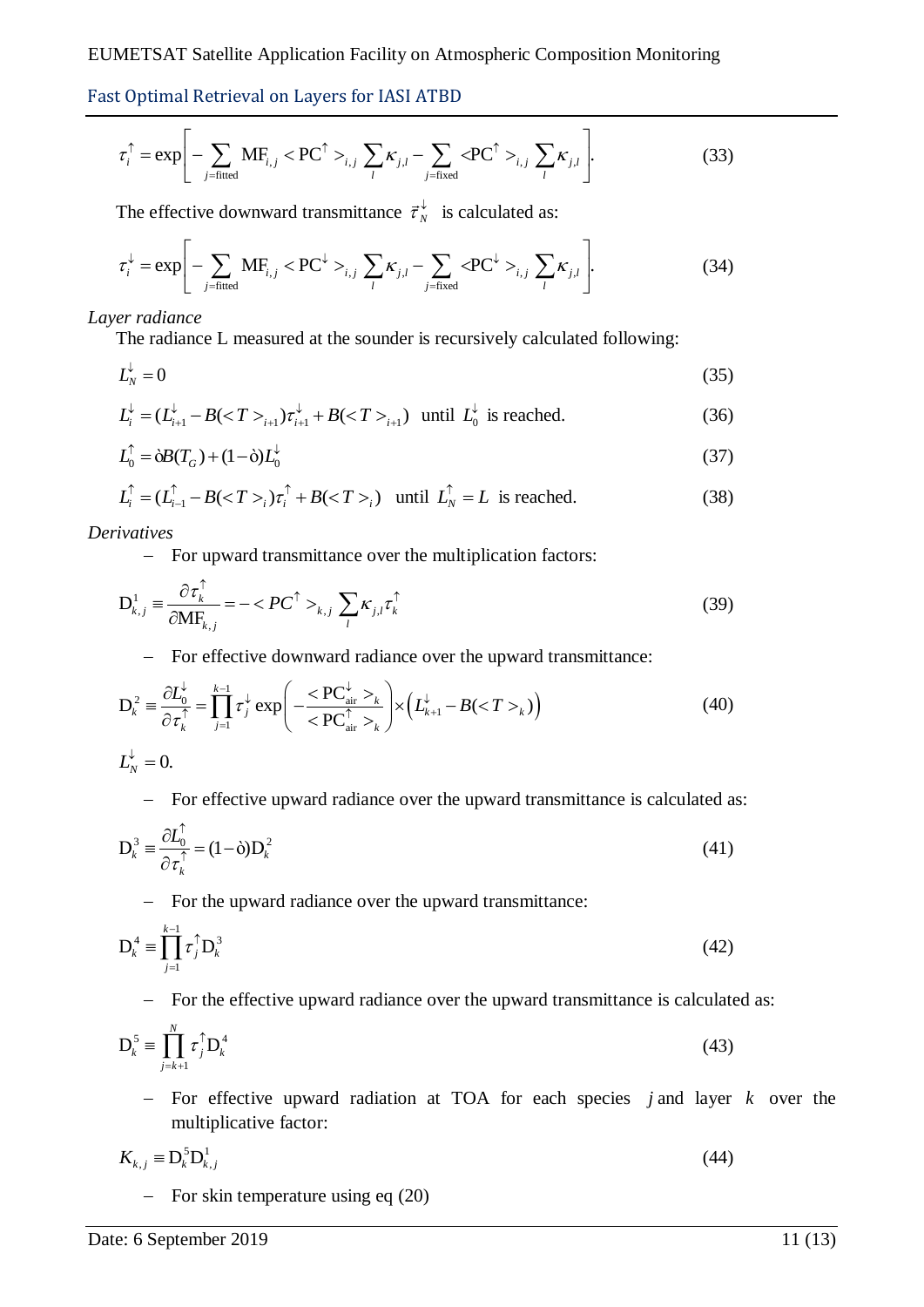Fast Optimal Retrieval on Layers for IASI ATBD  
\n
$$
\tau_i^{\uparrow} = \exp\left[-\sum_{j=\text{fitted}} \mathbf{M} \mathbf{F}_{i,j} < \mathbf{PC}^{\uparrow} >_{i,j} \sum_{l} \kappa_{j,l} - \sum_{j=\text{fixed}} < \mathbf{PC}^{\uparrow} >_{i,j} \sum_{l} \kappa_{j,l}\right].
$$
\n(33)

The effective downward transmittance 
$$
\vec{\tau}_N^{\downarrow}
$$
 is calculated as:  
\n
$$
\tau_i^{\downarrow} = \exp\left[-\sum_{j=\text{fitted}} \text{MF}_{i,j} < \text{PC}^{\downarrow} >_{i,j} \sum_{l} \kappa_{j,l} - \sum_{j=\text{fixed}} < \text{PC}^{\downarrow} >_{i,j} \sum_{l} \kappa_{j,l}\right].
$$
\n(34)

#### *Layer radiance*

The radiance L measured at the sounder is recursively calculated following:

$$
L_N^{\downarrow} = 0 \tag{35}
$$

$$
L_i^{\downarrow} = (L_{i+1}^{\downarrow} - B(_{i+1})\tau_{i+1}^{\downarrow} + B(_{i+1}) \text{ until } L_0^{\downarrow} \text{ is reached.}
$$
 (36)

$$
L_0^{\uparrow} = \dot{\mathbf{\omega}}B(T_G) + (1 - \dot{\mathbf{\omega}})L_0^{\downarrow}
$$
\n(37)

$$
L_i^{\uparrow} = (L_{i-1}^{\uparrow} - B(_{i})\tau_i^{\uparrow} + B(_{i}) \text{ until } L_N^{\uparrow} = L \text{ is reached.}
$$
 (38)

*Derivatives*

- For upward transmittance over the multiplication factors:

$$
D_{k,j}^1 = \frac{\partial \tau_k^{\uparrow}}{\partial M F_{k,j}} = -\langle PC^{\uparrow} \rangle_{k,j} \sum_l \kappa_{j,l} \tau_k^{\uparrow}
$$
\n(39)

- For effective downward radiance over the upward transmittance:  
\n
$$
D_k^2 = \frac{\partial L_0^{\downarrow}}{\partial \tau_k^{\uparrow}} = \prod_{j=1}^{k-1} \tau_j^{\downarrow} \exp\left(-\frac{<\text{PC}_{\text{air}}^{\downarrow} >_k}{<\text{PC}_{\text{air}}^{\uparrow} >_k}\right) \times \left(L_{k+1}^{\downarrow} - B(_{k})\right)
$$
\n(40)

$$
L_{N}^{\downarrow}=0.
$$

For effective upward radiance over the upward transmittance is calculated as:

$$
D_k^3 = \frac{\partial L_0^{\uparrow}}{\partial \tau_k^{\uparrow}} = (1 - \dot{\sigma}) D_k^2 \tag{41}
$$

- For the upward radiance over the upward transmittance:

$$
\mathbf{D}_k^4 \equiv \prod_{j=1}^{k-1} \tau_j^{\uparrow} \mathbf{D}_k^3 \tag{42}
$$

- For the effective upward radiance over the upward transmittance is calculated as:

$$
\mathbf{D}_{k}^{5} \equiv \prod_{j=k+1}^{N} \tau_{j}^{5} \mathbf{D}_{k}^{4} \tag{43}
$$

 For effective upward radiation at TOA for each species *j* and layer *k* over the multiplicative factor:

$$
K_{k,j} \equiv \mathbf{D}_k^5 \mathbf{D}_{k,j}^1 \tag{44}
$$

 $-$  For skin temperature using eq (20)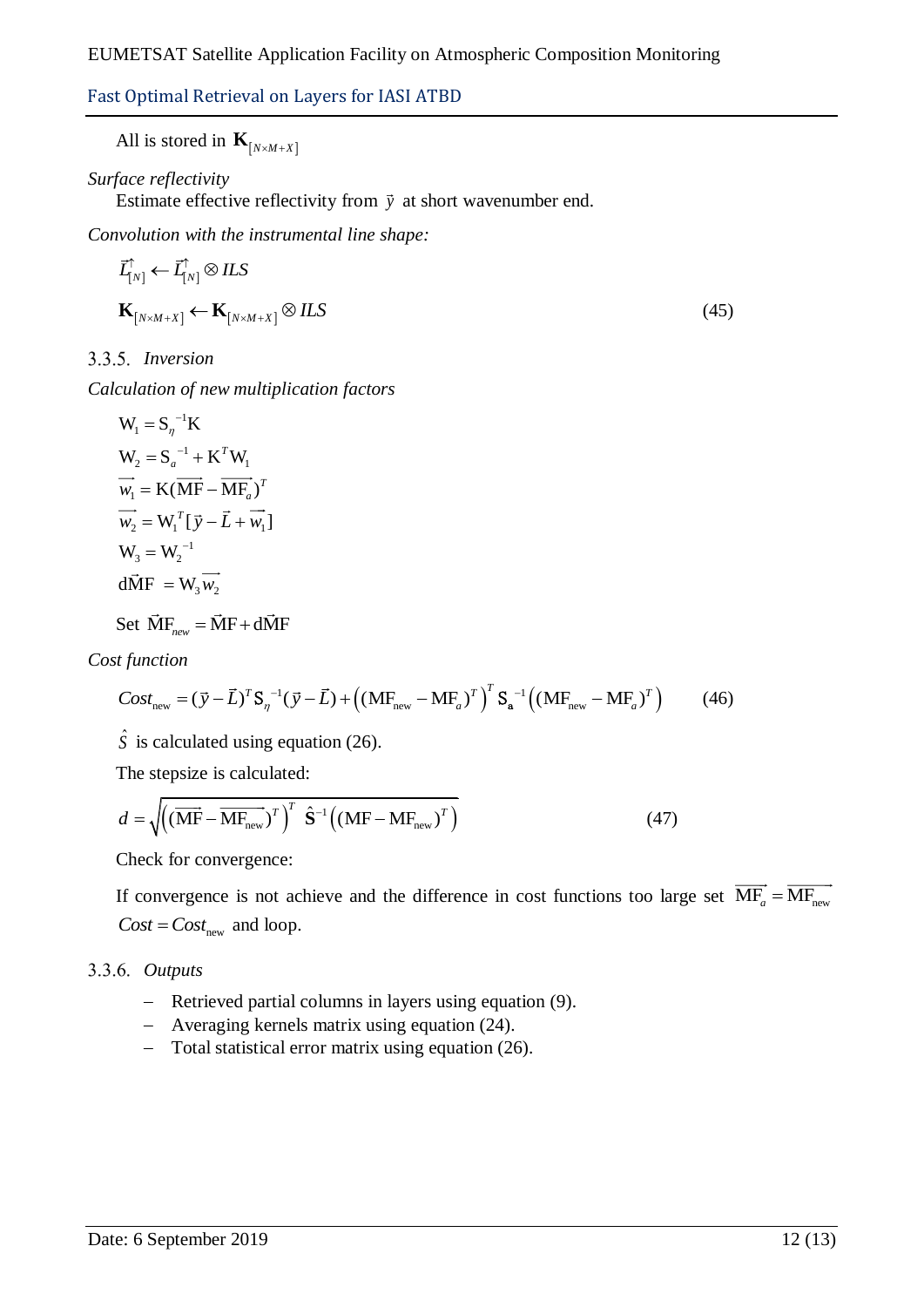All is stored in  $\mathbf{K}_{N \times M + X}$ 

## *Surface reflectivity*

Estimate effective reflectivity from  $\vec{y}$  at short wavenumber end.

*Convolution with the instrumental line shape:*

$$
\vec{L}_{[N]}^{\uparrow} \leftarrow \vec{L}_{[N]}^{\uparrow} \otimes ILS
$$
\n
$$
\mathbf{K}_{[N \times M + X]} \leftarrow \mathbf{K}_{[N \times M + X]} \otimes ILS
$$
\n(45)

*Inversion*

*Calculation of new multiplication factors*

$$
W_1 = S_{\eta}^{-1} K
$$
  
\n
$$
W_2 = S_a^{-1} + K^T W_1
$$
  
\n
$$
\overrightarrow{w_1} = K(\overrightarrow{MF} - \overrightarrow{MF_a})^T
$$
  
\n
$$
\overrightarrow{w_2} = W_1^T [\overrightarrow{y} - \overrightarrow{L} + \overrightarrow{w_1}]
$$
  
\n
$$
W_3 = W_2^{-1}
$$
  
\nd
$$
\overrightarrow{MF} = W_3 \overrightarrow{w_2}
$$

Set  $\vec{M}F_{new} = \vec{M}F + d\vec{M}F$ 

*Cost function*

Set 
$$
\text{MI}_{new}^{\prime} = \text{MI} + \text{dI} \text{VIF}
$$
  
\n*t function*  
\n
$$
Cost_{new} = (\vec{y} - \vec{L})^T \text{S}_\eta^{-1} (\vec{y} - \vec{L}) + ((\text{MF}_{new} - \text{MF}_{a})^T)^T \text{S}_a^{-1} ((\text{MF}_{new} - \text{MF}_{a})^T) \qquad (46)
$$

 $\hat{S}$  is calculated using equation (26).

The stepsize is calculated:

$$
d = \sqrt{\left((\overrightarrow{MF} - \overrightarrow{MF_{new}})^T\right)^T \hat{S}^{-1}\left((MF - MF_{new})^T\right)}
$$
(47)

Check for convergence:

If convergence is not achieve and the difference in cost functions too large set  $MF_a = MF_{new}$  $Cost = Cost_{new}$  and loop.

## *Outputs*

- Retrieved partial columns in layers using equation (9).
- Averaging kernels matrix using equation (24).
- Total statistical error matrix using equation (26).